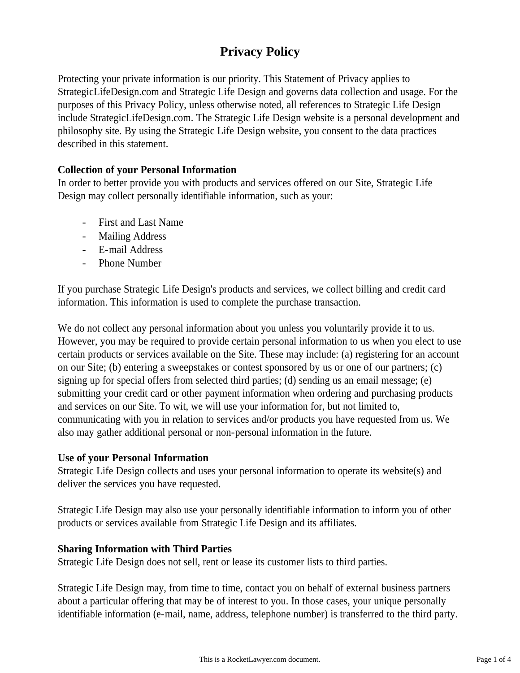# **Privacy Policy**

Protecting your private information is our priority. This Statement of Privacy applies to StrategicLifeDesign.com and Strategic Life Design and governs data collection and usage. For the purposes of this Privacy Policy, unless otherwise noted, all references to Strategic Life Design include StrategicLifeDesign.com. The Strategic Life Design website is a personal development and philosophy site. By using the Strategic Life Design website, you consent to the data practices described in this statement.

# **Collection of your Personal Information**

In order to better provide you with products and services offered on our Site, Strategic Life Design may collect personally identifiable information, such as your:

- First and Last Name
- Mailing Address
- E-mail Address
- Phone Number

If you purchase Strategic Life Design's products and services, we collect billing and credit card information. This information is used to complete the purchase transaction.

We do not collect any personal information about you unless you voluntarily provide it to us. However, you may be required to provide certain personal information to us when you elect to use certain products or services available on the Site. These may include: (a) registering for an account on our Site; (b) entering a sweepstakes or contest sponsored by us or one of our partners; (c) signing up for special offers from selected third parties; (d) sending us an email message; (e) submitting your credit card or other payment information when ordering and purchasing products and services on our Site. To wit, we will use your information for, but not limited to, communicating with you in relation to services and/or products you have requested from us. We also may gather additional personal or non-personal information in the future.

## **Use of your Personal Information**

Strategic Life Design collects and uses your personal information to operate its website(s) and deliver the services you have requested.

Strategic Life Design may also use your personally identifiable information to inform you of other products or services available from Strategic Life Design and its affiliates.

## **Sharing Information with Third Parties**

Strategic Life Design does not sell, rent or lease its customer lists to third parties.

Strategic Life Design may, from time to time, contact you on behalf of external business partners about a particular offering that may be of interest to you. In those cases, your unique personally identifiable information (e-mail, name, address, telephone number) is transferred to the third party.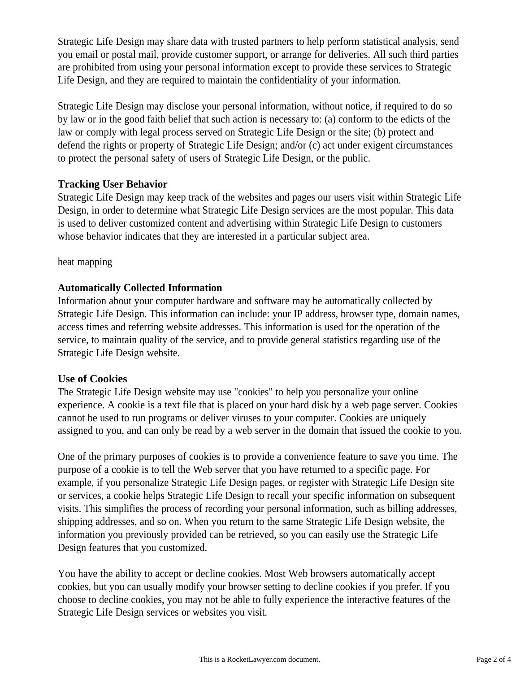Strategic Life Design may share data with trusted partners to help perform statistical analysis, send you email or postal mail, provide customer support, or arrange for deliveries. All such third parties are prohibited from using your personal information except to provide these services to Strategic Life Design, and they are required to maintain the confidentiality of your information.

Strategic Life Design may disclose your personal information, without notice, if required to do so by law or in the good faith belief that such action is necessary to: (a) conform to the edicts of the law or comply with legal process served on Strategic Life Design or the site; (b) protect and defend the rights or property of Strategic Life Design; and/or (c) act under exigent circumstances to protect the personal safety of users of Strategic Life Design, or the public.

# **Tracking User Behavior**

Strategic Life Design may keep track of the websites and pages our users visit within Strategic Life Design, in order to determine what Strategic Life Design services are the most popular. This data is used to deliver customized content and advertising within Strategic Life Design to customers whose behavior indicates that they are interested in a particular subject area.

heat mapping

# **Automatically Collected Information**

Information about your computer hardware and software may be automatically collected by Strategic Life Design. This information can include: your IP address, browser type, domain names, access times and referring website addresses. This information is used for the operation of the service, to maintain quality of the service, and to provide general statistics regarding use of the Strategic Life Design website.

## **Use of Cookies**

The Strategic Life Design website may use "cookies" to help you personalize your online experience. A cookie is a text file that is placed on your hard disk by a web page server. Cookies cannot be used to run programs or deliver viruses to your computer. Cookies are uniquely assigned to you, and can only be read by a web server in the domain that issued the cookie to you.

One of the primary purposes of cookies is to provide a convenience feature to save you time. The purpose of a cookie is to tell the Web server that you have returned to a specific page. For example, if you personalize Strategic Life Design pages, or register with Strategic Life Design site or services, a cookie helps Strategic Life Design to recall your specific information on subsequent visits. This simplifies the process of recording your personal information, such as billing addresses, shipping addresses, and so on. When you return to the same Strategic Life Design website, the information you previously provided can be retrieved, so you can easily use the Strategic Life Design features that you customized.

You have the ability to accept or decline cookies. Most Web browsers automatically accept cookies, but you can usually modify your browser setting to decline cookies if you prefer. If you choose to decline cookies, you may not be able to fully experience the interactive features of the Strategic Life Design services or websites you visit.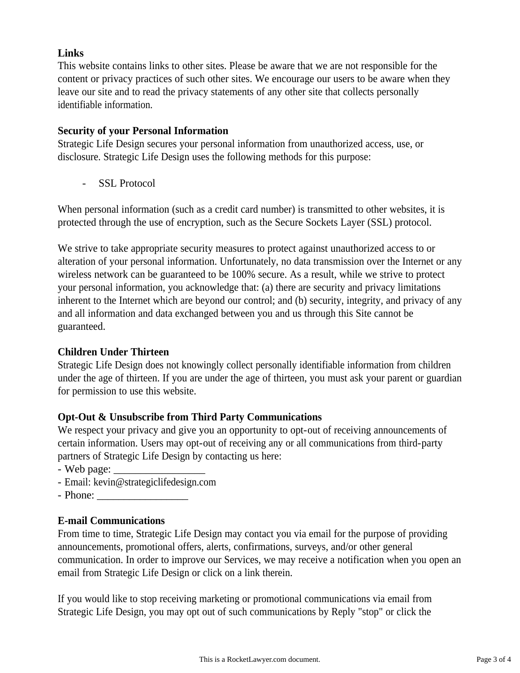# **Links**

This website contains links to other sites. Please be aware that we are not responsible for the content or privacy practices of such other sites. We encourage our users to be aware when they leave our site and to read the privacy statements of any other site that collects personally identifiable information.

## **Security of your Personal Information**

Strategic Life Design secures your personal information from unauthorized access, use, or disclosure. Strategic Life Design uses the following methods for this purpose:

- SSL Protocol

When personal information (such as a credit card number) is transmitted to other websites, it is protected through the use of encryption, such as the Secure Sockets Layer (SSL) protocol.

We strive to take appropriate security measures to protect against unauthorized access to or alteration of your personal information. Unfortunately, no data transmission over the Internet or any wireless network can be guaranteed to be 100% secure. As a result, while we strive to protect your personal information, you acknowledge that: (a) there are security and privacy limitations inherent to the Internet which are beyond our control; and (b) security, integrity, and privacy of any and all information and data exchanged between you and us through this Site cannot be guaranteed.

# **Children Under Thirteen**

Strategic Life Design does not knowingly collect personally identifiable information from children under the age of thirteen. If you are under the age of thirteen, you must ask your parent or guardian for permission to use this website.

# **Opt-Out & Unsubscribe from Third Party Communications**

We respect your privacy and give you an opportunity to opt-out of receiving announcements of certain information. Users may opt-out of receiving any or all communications from third-party partners of Strategic Life Design by contacting us here:

- Web page: \_\_\_\_\_\_\_\_\_\_\_\_\_\_\_\_\_
- Email: kevin@strategiclifedesign.com
- Phone:

## **E-mail Communications**

From time to time, Strategic Life Design may contact you via email for the purpose of providing announcements, promotional offers, alerts, confirmations, surveys, and/or other general communication. In order to improve our Services, we may receive a notification when you open an email from Strategic Life Design or click on a link therein.

If you would like to stop receiving marketing or promotional communications via email from Strategic Life Design, you may opt out of such communications by Reply "stop" or click the